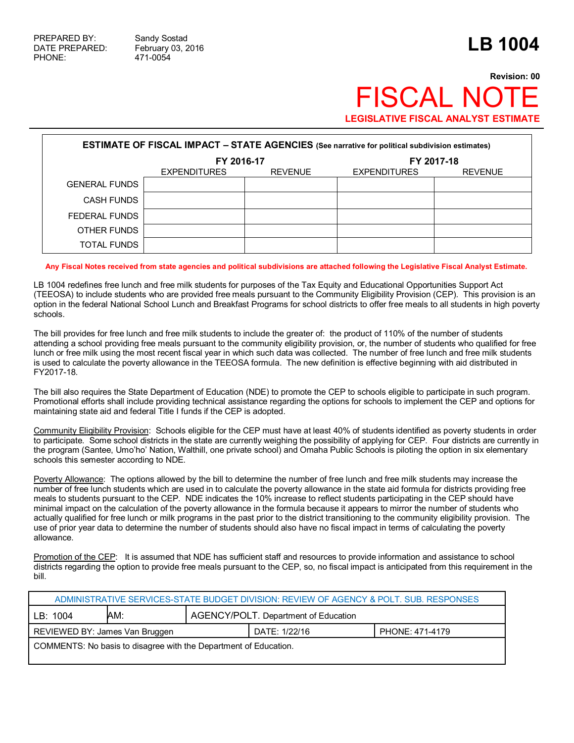## **Revision: 00 FISCAL NO LEGISLATIVE FISCAL ANALYST ESTIMATE**

| <b>ESTIMATE OF FISCAL IMPACT - STATE AGENCIES</b> (See narrative for political subdivision estimates) |                     |                |                     |                |  |
|-------------------------------------------------------------------------------------------------------|---------------------|----------------|---------------------|----------------|--|
|                                                                                                       | FY 2016-17          |                | FY 2017-18          |                |  |
|                                                                                                       | <b>EXPENDITURES</b> | <b>REVENUE</b> | <b>EXPENDITURES</b> | <b>REVENUE</b> |  |
| <b>GENERAL FUNDS</b>                                                                                  |                     |                |                     |                |  |
| <b>CASH FUNDS</b>                                                                                     |                     |                |                     |                |  |
| FEDERAL FUNDS                                                                                         |                     |                |                     |                |  |
| OTHER FUNDS                                                                                           |                     |                |                     |                |  |
| TOTAL FUNDS                                                                                           |                     |                |                     |                |  |

## **Any Fiscal Notes received from state agencies and political subdivisions are attached following the Legislative Fiscal Analyst Estimate.**

LB 1004 redefines free lunch and free milk students for purposes of the Tax Equity and Educational Opportunities Support Act (TEEOSA) to include students who are provided free meals pursuant to the Community Eligibility Provision (CEP). This provision is an option in the federal National School Lunch and Breakfast Programs for school districts to offer free meals to all students in high poverty schools.

The bill provides for free lunch and free milk students to include the greater of: the product of 110% of the number of students attending a school providing free meals pursuant to the community eligibility provision, or, the number of students who qualified for free lunch or free milk using the most recent fiscal year in which such data was collected. The number of free lunch and free milk students is used to calculate the poverty allowance in the TEEOSA formula. The new definition is effective beginning with aid distributed in FY2017-18.

The bill also requires the State Department of Education (NDE) to promote the CEP to schools eligible to participate in such program. Promotional efforts shall include providing technical assistance regarding the options for schools to implement the CEP and options for maintaining state aid and federal Title I funds if the CEP is adopted.

Community Eligibility Provision: Schools eligible for the CEP must have at least 40% of students identified as poverty students in order to participate. Some school districts in the state are currently weighing the possibility of applying for CEP. Four districts are currently in the program (Santee, Umo'ho' Nation, Walthill, one private school) and Omaha Public Schools is piloting the option in six elementary schools this semester according to NDE.

Poverty Allowance: The options allowed by the bill to determine the number of free lunch and free milk students may increase the number of free lunch students which are used in to calculate the poverty allowance in the state aid formula for districts providing free meals to students pursuant to the CEP. NDE indicates the 10% increase to reflect students participating in the CEP should have minimal impact on the calculation of the poverty allowance in the formula because it appears to mirror the number of students who actually qualified for free lunch or milk programs in the past prior to the district transitioning to the community eligibility provision. The use of prior year data to determine the number of students should also have no fiscal impact in terms of calculating the poverty allowance.

Promotion of the CEP: It is assumed that NDE has sufficient staff and resources to provide information and assistance to school districts regarding the option to provide free meals pursuant to the CEP, so, no fiscal impact is anticipated from this requirement in the bill.

| ADMINISTRATIVE SERVICES-STATE BUDGET DIVISION: REVIEW OF AGENCY & POLT. SUB. RESPONSES |     |                                      |               |                 |  |
|----------------------------------------------------------------------------------------|-----|--------------------------------------|---------------|-----------------|--|
| LB: 1004                                                                               | AM: | AGENCY/POLT. Department of Education |               |                 |  |
| REVIEWED BY: James Van Bruggen                                                         |     |                                      | DATE: 1/22/16 | PHONE: 471-4179 |  |
| COMMENTS: No basis to disagree with the Department of Education.                       |     |                                      |               |                 |  |